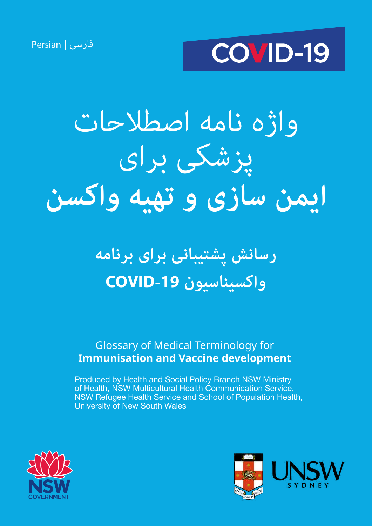فارسی | Persian



# واژه نامه اصطالحات پزشکی برای **ایمن سازی و تهیه واکسن**

### **رسانش پشتیبانی برای برنامه واکسیناسیون -19COVID**

### Glossary of Medical Terminology for **Immunisation and Vaccine development**

Produced by Health and Social Policy Branch NSW Ministry of Health, NSW Multicultural Health Communication Service, NSW Refugee Health Service and School of Population Health, University of New South Wales



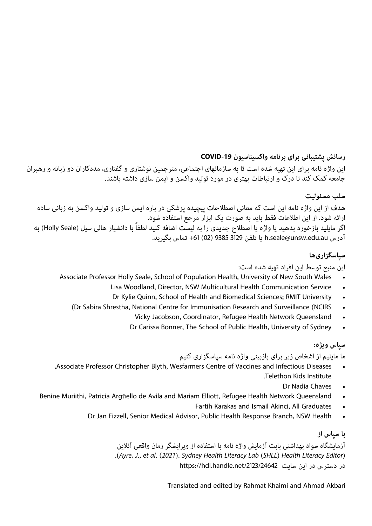### **رسانش پشتیبانی برای برنامه واکسیناسیون -19COVID**

این واژه نامه برای این تهیه شده است تا به سازمانهای اجتماعی، مترجمین نوشتاری و گفتاری، مددکاران دو زبانه و رهبران جامعه کمک کند تا درک و ارتباطات بهتری در مورد تولید واکسن و ایمن سازی داشته باشند.

### **سلب مسئولیت**

هدف از این واژه نامه این است که معانی اصطالحات پیچیده پزشکی در باره ایمن سازی و تولید واکسن به زبانی ساده ارائه شود. از این اطالعات فقط باید به صورت یک ابزار مرجع استفاده شود. اگر مایلید بازخورد بدهید یا واژه یا اصطلاح جدیدی را به لیست اضافه کنید لطفاً با دانشیار هالی سیل (Holly Seale) به آدرس au.edu.unsw@seale.h یا تلفن 3129 9385 (02) +61 تماس بگیرید.

### **سپاسگزاریها**

#### این منبع توسط این افراد تهیه شده است:

- Associate Professor Holly Seale, School of Population Health, University of New South Wales .
	- Lisa Woodland, Director, NSW Multicultural Health Communication Service
	- Dr Kylie Quinn, School of Health and Biomedical Sciences; RMIT University
	- (Dr Sabira Shrestha, National Centre for Immunisation Research and Surveillance (NCIRS
		- Vicky Jacobson, Coordinator, Refugee Health Network Queensland
		- Dr Carissa Bonner, The School of Public Health, University of Sydney

### **سپاس ویژه:**

ما مایلیم از اشخاص زیر برای بازبینی واژه نامه سپاسگزاری کنیم

- , Associate Professor Christopher Blyth, Wesfarmers Centre of Vaccines and Infectious Diseases Telethon Kids Institute
	- Dr Nadia Chaves
- Benine Muriithi, Patricia Argüello de Avila and Mariam Elliott, Refugee Health Network Queensland
	- Fartih Karakas and Ismail Akinci, All Graduates
	- Dr Jan Fizzell, Senior Medical Advisor, Public Health Response Branch, NSW Health

### **با سپاس از**

آزمایشگاه سواد بهداشتی بابت آزمایش واژه نامه با استفاده از ویرایشگر زمان واقعی آنالین *)Editor Literacy Health) SHLL (Lab Literacy Health Sydney .)2021 (.al et .,J ,Ayre).* در دسترس در این سایت https://hdl.handle.net/2123/24642

Translated and edited by Rahmat Khaimi and Ahmad Akbari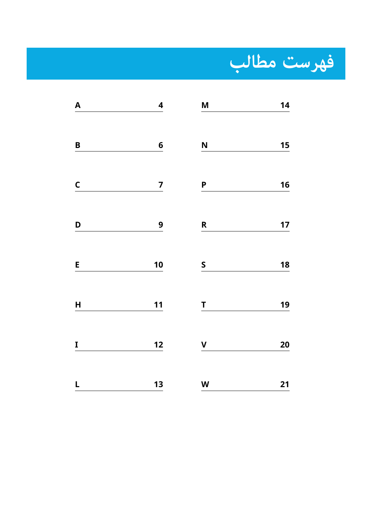

| A            | $\overline{\mathbf{4}}$ | $\mathbf M$               | 14 |
|--------------|-------------------------|---------------------------|----|
| $\pmb B$     | $\boldsymbol{6}$        | N                         | 15 |
| $\mathsf{C}$ | $\overline{z}$          | $\overline{P}$            | 16 |
| D            | 9                       | $\mathsf{R}$              | 17 |
| E            | 10                      | $\mathsf S$               | 18 |
| $\mathsf{H}$ | $11$                    | T                         | 19 |
| I            | 12                      | $\mathbf V$               | 20 |
| L            | 13                      | $\boldsymbol{\mathsf{W}}$ | 21 |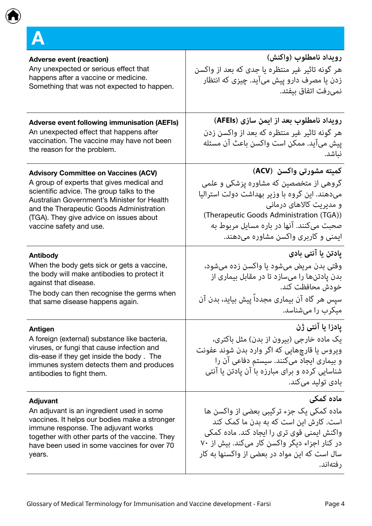<span id="page-3-0"></span>

| <b>Adverse event (reaction)</b>                     | رويداد نامطلوب (واكنش)                          |
|-----------------------------------------------------|-------------------------------------------------|
| Any unexpected or serious effect that               | هر گونه تاثیر غیر منتظره یا جدی که بعد از واکسن |
| happens after a vaccine or medicine.                | زدن یا مصرف دارو پیش میآید. چیزی که انتظار      |
| Something that was not expected to happen.          | نمي رفت اتفاق بيفتد.                            |
| <b>Adverse event following immunisation (AEFIs)</b> | رويداد نامطلوب بعد از ايمن سازي (AFEIs)         |
| An unexpected effect that happens after             | هر گونه تاثیر غیر منتظره که بعد از واکسن زدن    |
| vaccination. The vaccine may have not been          | پیش میآید. ممکن است واکسن باعث آن مسئله         |
| the reason for the problem.                         | نباشد.                                          |
| <b>Advisory Committee on Vaccines (ACV)</b>         | كميته مشورتي واكسن  (ACV)                       |
| A group of experts that gives medical and           | گروهی از متخصصین که مشاوره یزشکی و علمی         |
| scientific advice. The group talks to the           | میدهند. این گروه با وزیر بهداشت دولت استرالیا   |
| Australian Government's Minister for Health         | و مدیریت کالاهای درمانی                         |
| and the Therapeutic Goods Administration            | (Therapeutic Goods Administration (TGA))        |
| (TGA). They give advice on issues about             | صحبت میکنند. آنها در باره مسایل مربوط به        |
| vaccine safety and use.                             | ایمنی و کاربری واکسن مشاوره میدهند.             |
| <b>Antibody</b>                                     | یادتن یا آنتی بادی                              |
| When the body gets sick or gets a vaccine,          | وقتی بدن مریض میشود یا واکسن زده میشود،         |
| the body will make antibodies to protect it         | بدن یادتنها را میسازد تا در مقابل بیماری از     |
| against that disease.                               | خودش محافظت كند.                                |
| The body can then recognise the germs when          | سپس هر گاه آن بیماری مجددا پیش بیاید، بدن آن    |
| that same disease happens again.                    | میکرب را میشناسد.                               |
| <b>Antigen</b>                                      | يادزا يا آنتي ژن                                |
| A foreign (external) substance like bacteria,       | یک ماده خارجی (بیرون از بدن) مثل باکتری،        |
| viruses, or fungi that cause infection and          | ویروس یا قارچهایی که اگر وارد بدن شوند عفونت    |
| dis-ease if they get inside the body. The           | و بیماری ایجاد میکنند. سیستم دفاعی آن را        |
| immunes system detects them and produces            | شناسایی کرده و برای مبارزه با آن یادتن یا آنتی  |
| antibodies to fight them.                           | بادي توليد مي¢ند.                               |
| Adjuvant                                            | ماده کمکی                                       |
| An adjuvant is an ingredient used in some           | ماده کمکی یک جزء ترکیبی بعضی از واکسن ها        |
| vaccines. It helps our bodies make a stronger       | است. کارش این است که به بدن ما کمک کند          |
| immune response. The adjuvant works                 | واکنش ایمنی قوی تری را ایجاد کند. ماده کمکی     |
| together with other parts of the vaccine. They      | در کنار اجزاء دیگر واکسن کار میکند. بیش از ۷۰   |
| have been used in some vaccines for over 70         | سال است که این مواد در بعضی از واکسنها به کار   |
| years.                                              | ر فتەاند.                                       |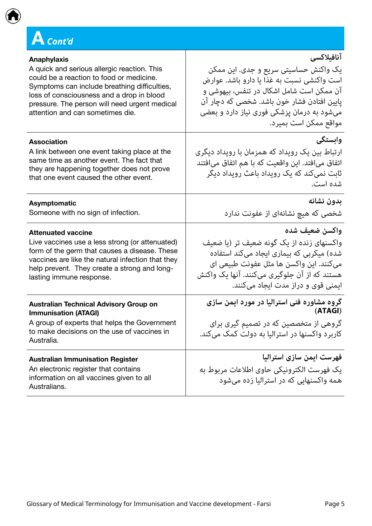

| <b>Anaphylaxis</b>                                                                                                                                                                        | آنافيلاكسي                                                                                                                                       |
|-------------------------------------------------------------------------------------------------------------------------------------------------------------------------------------------|--------------------------------------------------------------------------------------------------------------------------------------------------|
| A quick and serious allergic reaction. This                                                                                                                                               | یک واکنش حساسیتی سریع و جدی. این ممکن                                                                                                            |
| could be a reaction to food or medicine.                                                                                                                                                  | است واکنشی نسبت به غذا یا دارو باشد. عوارض                                                                                                       |
| Symptoms can include breathing difficulties,                                                                                                                                              | آن ممکن است شامل اشکال در تنفس، بیهوشی و                                                                                                         |
| loss of consciousness and a drop in blood                                                                                                                                                 | پایین افتادن فشار خون باشد. شخصی که دچار آن                                                                                                      |
| pressure. The person will need urgent medical                                                                                                                                             | میشود به درمان پزشکی فوری نیاز دارد و بعضی                                                                                                       |
| attention and can sometimes die.                                                                                                                                                          | ِ مواقع ممكن است بميرد.                                                                                                                          |
| <b>Association</b>                                                                                                                                                                        | وابستگی                                                                                                                                          |
| A link between one event taking place at the                                                                                                                                              | ارتباط بین یک رویداد که همزمان با رویداد دیگری                                                                                                   |
| same time as another event. The fact that                                                                                                                                                 | اتفاق میافتد. این واقعیت که با هم اتفاق میافتند                                                                                                  |
| they are happening together does not prove                                                                                                                                                | ثابت نمیکند که یک رویداد باعث رویداد دیگر                                                                                                        |
| that one event caused the other event.                                                                                                                                                    | شده است.                                                                                                                                         |
| <b>Asymptomatic</b>                                                                                                                                                                       | بدون نشانه                                                                                                                                       |
| Someone with no sign of infection.                                                                                                                                                        | شخصی که هیچ نشانهای از عفونت ندارد                                                                                                               |
| <b>Attenuated vaccine</b>                                                                                                                                                                 | واكسن ضعيف شده                                                                                                                                   |
| Live vaccines use a less strong (or attenuated)                                                                                                                                           | واکسنهای زنده از یک گونه ضعیف تر (یا ضعیف                                                                                                        |
| form of the germ that causes a disease. These                                                                                                                                             | شده) میکربی که بیماری ایجاد میکند استفاده                                                                                                        |
| vaccines are like the natural infection that they                                                                                                                                         | ميكنند. اين واكسن ها مثل عفونت طبيعي اي                                                                                                          |
| help prevent. They create a strong and long-                                                                                                                                              | هستند که از آن جلوگیری میکنند. آنها یک واکنش                                                                                                     |
| lasting immune response.                                                                                                                                                                  | ایمنی قوی و دراز مدت ایجاد میکنند.                                                                                                               |
| <b>Australian Technical Advisory Group on</b><br><b>Immunisation (ATAGI)</b><br>A group of experts that helps the Government<br>to make decisions on the use of vaccines in<br>Australia. | گروه مشاوره فنی استرالیا در مورد ایمن سازی<br>(ATAGI)<br>گروهی از متخصصین که در تصمیم گیری برای<br>کاربرد واکسنها در استرالیا به دولت کمک میکند. |
| <b>Australian Immunisation Register</b><br>An electronic register that contains<br>information on all vaccines given to all<br>Australians.                                               | ّ فهرست ایمن سازی استرالیا<br>يک فهرست الکترونيکي حاوي اطلاعات مربوط به<br>همه واکسنهایی که در استرالیا زده میشود                                |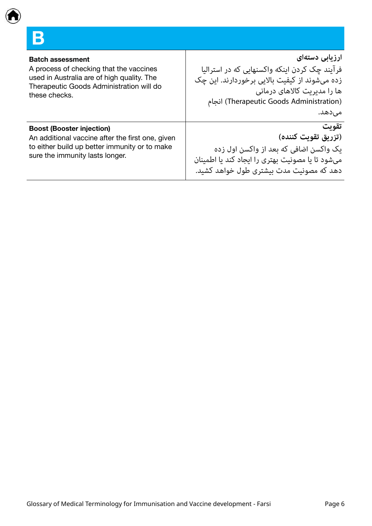<span id="page-5-0"></span>

| <b>Batch assessment</b><br>A process of checking that the vaccines<br>used in Australia are of high quality. The<br>Therapeutic Goods Administration will do<br>these checks. | ارزیابی دستهای<br>فرآیند چک کردن اینکه واکسنهایی که در استرالیا<br>زده میشوند از کیفیت بالایی برخوردارند. این چک<br>ها را مدیریت کالاهای درمانی<br>(Therapeutic Goods Administration) انجام<br>مىدھد. |
|-------------------------------------------------------------------------------------------------------------------------------------------------------------------------------|-------------------------------------------------------------------------------------------------------------------------------------------------------------------------------------------------------|
| <b>Boost (Booster injection)</b><br>An additional vaccine after the first one, given<br>to either build up better immunity or to make<br>sure the immunity lasts longer.      | تقويت<br>(تزريق تقويت كننده)<br>یک واکسن اضافی که بعد از واکسن اول زده<br>میشود تا یا مصونیت بهتری را ایجاد کند یا اطمینان<br>دهد که مصونیت مدت بیشتری طول خواهد کشید.                                |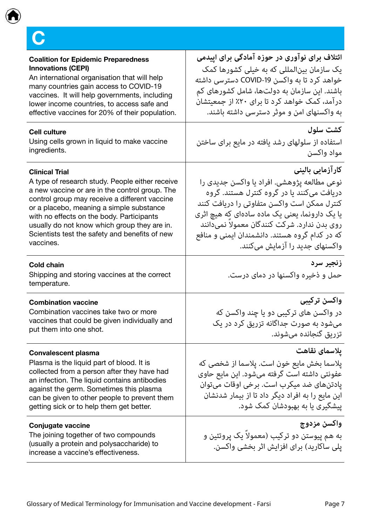<span id="page-6-0"></span>

| <b>Coalition for Epidemic Preparedness</b><br><b>Innovations (CEPI)</b><br>An international organisation that will help<br>many countries gain access to COVID-19<br>vaccines. It will help governments, including<br>lower income countries, to access safe and<br>effective vaccines for 20% of their population.                                                                 | ائتلاف برای نوآوری در حوزه آمادگی برای اپیدمی<br>یک سازمان بین لمللی که به خیلی کشورها کمک<br>خواهد کرد تا به واکسن COVID-19 دسترسی داشته<br>باشند. این سازمان به دولتها، شامل کشورهای کم<br>درآمد، کمک خواهد کرد تا برای ۲۰٪ از جمعیتشان<br>به واکسنهای امن و موثر دسترسی داشته باشند.                                                            |
|-------------------------------------------------------------------------------------------------------------------------------------------------------------------------------------------------------------------------------------------------------------------------------------------------------------------------------------------------------------------------------------|----------------------------------------------------------------------------------------------------------------------------------------------------------------------------------------------------------------------------------------------------------------------------------------------------------------------------------------------------|
| <b>Cell culture</b><br>Using cells grown in liquid to make vaccine<br>ingredients.                                                                                                                                                                                                                                                                                                  | كشت سلول<br>استفاده از سلولهای رشد یافته در مایع برای ساختن<br>مواد واكسن                                                                                                                                                                                                                                                                          |
| <b>Clinical Trial</b><br>A type of research study. People either receive<br>a new vaccine or are in the control group. The<br>control group may receive a different vaccine<br>or a placebo, meaning a simple substance<br>with no effects on the body. Participants<br>usually do not know which group they are in.<br>Scientists test the safety and benefits of new<br>vaccines. | كارآزمايى بالينى<br>نوعی مطالعه پژوهشی. افراد یا واکسن جدیدی را<br>دریافت میکنند یا در گروه کنترل هستند. گروه<br>کنترل ممکن است واکسن متفاوتی را دریافت کنند<br>یا یک دارونما، یعنی یک ماده سادهای که هیچ اثری<br>روی بدن ندارد. شرکت کنندگان معمولا نمیدانند<br>که در کدام گروه هستند. دانشمندان ایمنی و منافع<br>واکسنهای جدید را آزمایش میکنند. |
| <b>Cold chain</b><br>Shipping and storing vaccines at the correct<br>temperature.                                                                                                                                                                                                                                                                                                   | زنجير سرد<br>حمل و ذخیره واکسنها در دمای درست.                                                                                                                                                                                                                                                                                                     |
| <b>Combination vaccine</b><br>Combination vaccines take two or more<br>vaccines that could be given individually and<br>put them into one shot.                                                                                                                                                                                                                                     | واكسن تركيبي<br>در واکسن های ترکیبی دو یا چند واکسن که<br>میشود به صورت جداگانه تزریق کرد در یک<br>تزريق گنجانده ميشوند.                                                                                                                                                                                                                           |
| <b>Convalescent plasma</b><br>Plasma is the liquid part of blood. It is<br>collected from a person after they have had<br>an infection. The liquid contains antibodies<br>against the germ. Sometimes this plasma<br>can be given to other people to prevent them<br>getting sick or to help them get better.                                                                       | يلاسماي نقاهت<br>پلاسما بخش مایع خون است. پلاسما از شخصی که<br>عفونتي داشته است گرفته ميشود. اين مايع حاوي<br>يادتنهاي ضد ميكرب است. برخي اوقات ميتوان<br>این مایع را به افراد دیگر داد تا از بیمار شدنشان<br>پیشگیری یا به بهبودشان کمک شود.                                                                                                      |
| Conjugate vaccine<br>The joining together of two compounds<br>(usually a protein and polysaccharide) to<br>increase a vaccine's effectiveness.                                                                                                                                                                                                                                      | واكسن مزدوج<br>به هم پیوستن دو ترکیب (معمولا یک پروتئین و<br>یلی ساکارید) برای افزایش اثر بخشی واکسن.                                                                                                                                                                                                                                              |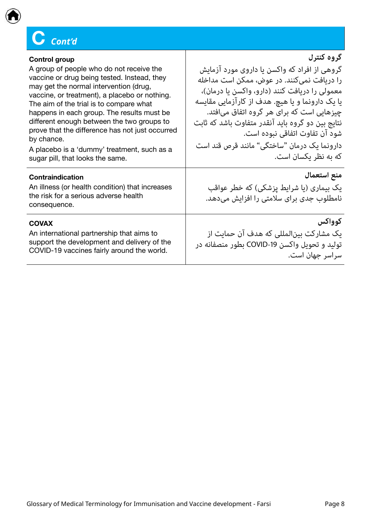### $C$  Cont'd

| <b>Control group</b>                                                                                                                                                                                                                                                                                                                                                                                                                                                          | گروه کنترل                                                                                                                                                                                                                                                                                                                                                                                               |
|-------------------------------------------------------------------------------------------------------------------------------------------------------------------------------------------------------------------------------------------------------------------------------------------------------------------------------------------------------------------------------------------------------------------------------------------------------------------------------|----------------------------------------------------------------------------------------------------------------------------------------------------------------------------------------------------------------------------------------------------------------------------------------------------------------------------------------------------------------------------------------------------------|
| A group of people who do not receive the<br>vaccine or drug being tested. Instead, they<br>may get the normal intervention (drug,<br>vaccine, or treatment), a placebo or nothing.<br>The aim of the trial is to compare what<br>happens in each group. The results must be<br>different enough between the two groups to<br>prove that the difference has not just occurred<br>by chance.<br>A placebo is a 'dummy' treatment, such as a<br>sugar pill, that looks the same. | گروهی از افراد که واکسن یا داروی مورد آزمایش<br>را دریافت نمیکنند. در عوض، ممکن است مداخله<br>معمولی را دریافت کنند (دارو، واکسن یا درمان)،<br>یا یک دارونما و یا هیچ. هدف از کارآزمایی مقایسه<br>چیزهایی است که برای هر گروه اتفاق میافتد.<br>نتایج بین دو گروه باید آنقدر متفاوت باشد که ثابت<br>شود آن تفاوت اتفاقي نبوده است.<br>دارونما یک درمان "ساختگی" مانند قرص قند است<br>که به نظر یکسان است. |
| Contraindication<br>An illness (or health condition) that increases<br>the risk for a serious adverse health<br>consequence.                                                                                                                                                                                                                                                                                                                                                  | منع استعمال<br>یک بیماری (یا شرایط پزشکی) که خطر عواقب<br>نامطلوب جدی برای سلامتی را افزایش میدهد.                                                                                                                                                                                                                                                                                                       |
| <b>COVAX</b><br>An international partnership that aims to<br>support the development and delivery of the<br>COVID-19 vaccines fairly around the world.                                                                                                                                                                                                                                                                                                                        | كوواكس<br>یک مشارکت بین لمللی که هدف آن حمایت از<br>توليد و تحويل واكسن COVID-19 بطور منصفانه در<br>سراسر جهان است.                                                                                                                                                                                                                                                                                      |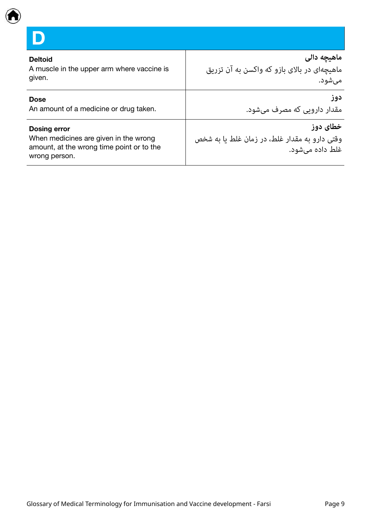<span id="page-8-0"></span>

**D**

| <b>Deltoid</b>                                                                                                             | ماهیچه دالی                                                                  |
|----------------------------------------------------------------------------------------------------------------------------|------------------------------------------------------------------------------|
| A muscle in the upper arm where vaccine is                                                                                 | ماهیچهای در بالای بازو که واکسن به آن تزریق                                  |
| given.                                                                                                                     | می شود.                                                                      |
| <b>Dose</b>                                                                                                                | دوز                                                                          |
| An amount of a medicine or drug taken.                                                                                     | مقدار دارویی که مصرف میشود.                                                  |
| <b>Dosing error</b><br>When medicines are given in the wrong<br>amount, at the wrong time point or to the<br>wrong person. | خطای دوز<br>وقتی دارو به مقدار غلط، در زمان غلط یا به شخص<br>غلط داده میشود. |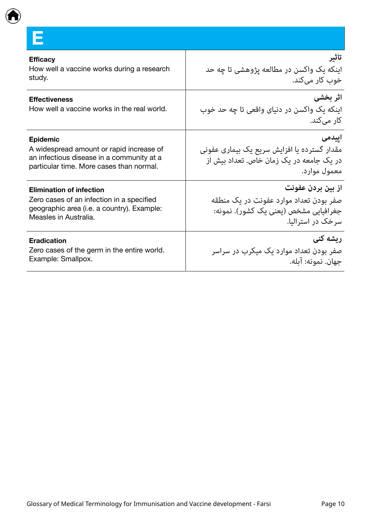<span id="page-9-0"></span>

**E**

| <b>Efficacy</b>                                                     | تاثير                                                                 |
|---------------------------------------------------------------------|-----------------------------------------------------------------------|
| How well a vaccine works during a research                          | اینکه یک واکسن در مطالعه پژوهشی تا چه حد                              |
| study.                                                              | خوب کار میکند.                                                        |
| <b>Effectiveness</b><br>How well a vaccine works in the real world. | اثر بخشى<br>اینکه یک واکسن در دنیای واقعی تا چه حد خوب<br>کار می)کند. |
| <b>Epidemic</b>                                                     | اييدمى                                                                |
| A widespread amount or rapid increase of                            | مقدار گسترده یا افزایش سریع یک بیماری عفونی                           |
| an infectious disease in a community at a                           | در یک جامعه در یک زمان خاص. تعداد بیش از                              |
| particular time. More cases than normal.                            | امعمول مواراد.                                                        |
| <b>Elimination of infection</b>                                     | از بين بردن عفونت                                                     |
| Zero cases of an infection in a specified                           | صفر بودن تعداد موارد عفونت در یک منطقه                                |
| geographic area (i.e. a country). Example:                          | جغرافیایی مشخص (یعنی یک کشور). نمونه:                                 |
| Measles in Australia.                                               | سرخک در استرالیا.                                                     |
| <b>Eradication</b>                                                  | رىشە كنى                                                              |
| Zero cases of the germ in the entire world.                         | صفر بودن تعداد موارد یک میکرب در سراسر                                |
| Example: Smallpox.                                                  | حهان. نمونه: آىله.                                                    |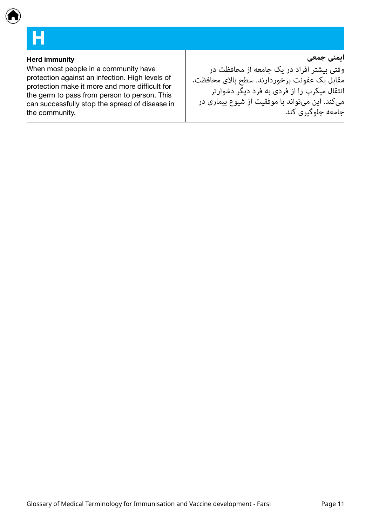### <span id="page-10-0"></span>**H**

### **Herd** immunity

When most people in a community have protection against an infection. High levels of protection make it more and more difficult for the germ to pass from person to person. This can successfully stop the spread of disease in the community.

وقتی بیشتر افراد در یک جامعه از محافظت در مقابل یک عفونت برخوردارند. سطح باالی محافظت، انتقال میکرب را از فردی به فرد دیگر دشوارتر میکند. این میتواند با موفقیت از شیوع بیماری در جامعه جلوگیری کند.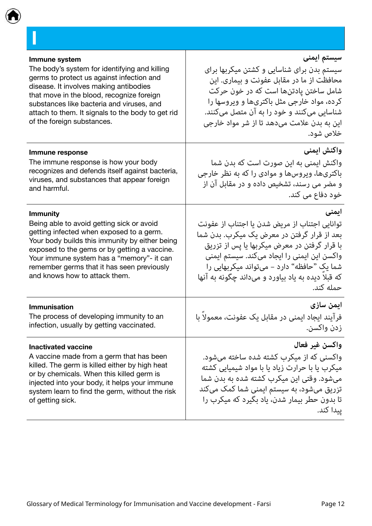<span id="page-11-0"></span>

| Immune system                                     | سیستم ایمنی                                       |
|---------------------------------------------------|---------------------------------------------------|
| The body's system for identifying and killing     | سیستم بدن برای شناسایی و کشتن میکربها برای        |
| germs to protect us against infection and         | محافظت از ما در مقابل عفونت و بیماری. این         |
| disease. It involves making antibodies            | شامل ساختن یادتنها است که در خون حرکت             |
| that move in the blood, recognize foreign         | کرده، مواد خارجی مثل باکتریها و ویروسها را        |
| substances like bacteria and viruses, and         | شناسایی میکنند و خود را به آن متصل میکنند.        |
| attach to them. It signals to the body to get rid | این به بدن علامت میدهد تا از شر مواد خارجی        |
| of the foreign substances.                        | خلاص شود.                                         |
| Immune response                                   | واكنش ايمنى                                       |
| The immune response is how your body              | واکنش ایمنی به این صورت است که بدن شما            |
| recognizes and defends itself against bacteria,   | باکتریها، ویروسها و موادی را که به نظر خارجی      |
| viruses, and substances that appear foreign       | و مضر می رسند، تشخیص داده و در مقابل آن از        |
| and harmful.                                      | خود دفاع می کند.                                  |
| <b>Immunity</b>                                   | ایمنی                                             |
| Being able to avoid getting sick or avoid         | توانایی اجتناب از مریض شدن یا اجتناب از عفونت     |
| getting infected when exposed to a germ.          | بعد از قرار گرفتن در معرض یک میکرب. بدن شما       |
| Your body builds this immunity by either being    | با قرار گرفتن در معرض میکربها یا پس از تزریق      |
| exposed to the gems or by getting a vaccine.      | واکسن این ایمنی را ایجاد میکند. سیستم ایمنی       |
| Your immune system has a "memory"- it can         | شما یک "حافظه" دارد – میتواند میکربهایی را        |
| remember germs that it has seen previously        | که قبلا دیده به یاد بیاورد و میداند چگونه به آنها |
| and knows how to attack them.                     | حمله کند.                                         |
| <b>Immunisation</b>                               | ايمن سازى                                         |
| The process of developing immunity to an          | فرآيند ايجاد ايمني در مقابل يک عفونت، معمولاً با  |
| infection, usually by getting vaccinated.         | زدن واكسن.                                        |
| <b>Inactivated vaccine</b>                        | واكسن غير فعال                                    |
| A vaccine made from a germ that has been          | واکسنی که از میکرب کشته شده ساخته میشود.          |
| killed. The germ is killed either by high heat    | میکرب یا با حرارت زیاد یا با مواد شیمیایی کشته    |
| or by chemicals. When this killed germ is         | میشود. وقتی این میکرب کشته شده به بدن شما         |
| injected into your body, it helps your immune     | تزریق میشود، به سیستم ایمنی شما کمک میکند         |
| system learn to find the germ, without the risk   | تا بدون حطر بیمار شدن، یاد بگیرد که میکرب را      |
| of getting sick.                                  | ييدا كند.                                         |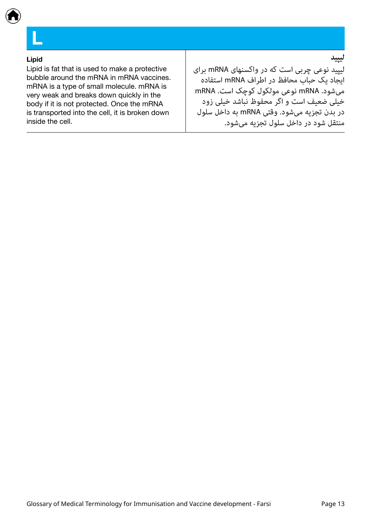<span id="page-12-0"></span>

#### **Lipid**

**L**

Lipid is fat that is used to make a protective bubble around the mRNA in mRNA vaccines. mRNA is a type of small molecule. mRNA is very weak and breaks down quickly in the body if it is not protected. Once the mRNA is transported into the cell, it is broken down inside the cell.

### **لیپید**

لیپید نوعی چربی است که در واکسنهای mRNA برای ایجاد یک حباب محافظ در اطراف mRNA استفاده میشود. mRNA نوعی مولکول کوچک است. mRNA خیلی ضعیف است و اگر محفوظ نباشد خیلی زود در بدن تجزیه میشود. وقتی mRNA به داخل سلول منتقل شود در داخل سلول تجزیه میشود.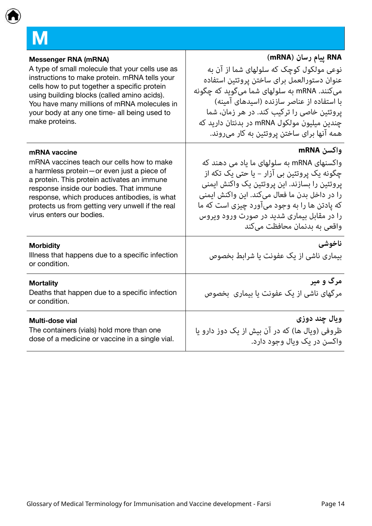<span id="page-13-0"></span>

| <b>Messenger RNA (mRNA)</b>                                                           | RNA پيام رسان (mRNA)                                   |
|---------------------------------------------------------------------------------------|--------------------------------------------------------|
| A type of small molecule that your cells use as                                       | نوعی مولکول کوچک که سلولهای شما از آن به               |
| instructions to make protein. mRNA tells your                                         | عنوان دستورالعمل براى ساختن پروتئين استفاده            |
| cells how to put together a specific protein                                          | ميکنند. mRNA به سلولهای شما ميگويد که چگونه            |
| using building blocks (called amino acids).                                           | با استفاده از عناصر سازنده (اسیدهای آمینه)             |
| You have many millions of mRNA molecules in                                           | پروتئین خاصی را ترکیب کند. در هر زمان، شما             |
| your body at any one time- all being used to                                          | چندین میلیون مولکول mRNA در بدنتان دارید که            |
| make proteins.                                                                        | همه آنها برای ساختن پروتئین به کار میروند.             |
| mRNA vaccine                                                                          | واكسن mRNA                                             |
| mRNA vaccines teach our cells how to make                                             | واکسنهای mRNA به سلولهای ما یاد می دهند که             |
| a harmless protein-or even just a piece of                                            | چگونه یک پروتئین بی آزار – یا حتی یک تکه از            |
| a protein. This protein activates an immune                                           | پروتئین را بسازند. این پروتئین یک واکنش ایمنی          |
| response inside our bodies. That immune                                               | را در داخل بدن ما فعال میکند. این واکنش ایمنی          |
| response, which produces antibodies, is what                                          | که پادتن ها را به وجود میآورد چیزی است که ما           |
| protects us from getting very unwell if the real                                      | را در مقابل بیماری شدید در صورت ورود ویروس             |
| virus enters our bodies.                                                              | واقعی به بدنمان محافظت میکند                           |
| <b>Morbidity</b><br>Illness that happens due to a specific infection<br>or condition. | ناخوشي<br>بیماری ناشی از یک عفونت یا شرابط بخصوص       |
| <b>Mortality</b><br>Deaths that happen due to a specific infection<br>or condition.   | مرگ و میر<br>مرگهای ناشی از یک عفونت یا بیماری ِ بخصوص |
| Multi-dose vial                                                                       | ويال چند دوزي                                          |
| The containers (vials) hold more than one                                             | ظروفي (ويال ها) كه در آن بيش از يک دوز دارو يا         |
| dose of a medicine or vaccine in a single vial.                                       | واکسن در یک ویال وجود دارد.                            |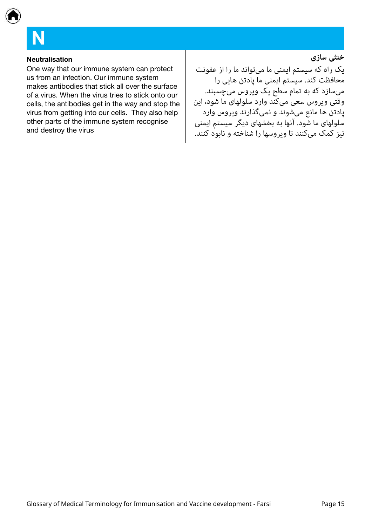<span id="page-14-0"></span>

## **N**

#### **Neutralisation**

One way that our immune system can protect us from an infection. Our immune system makes antibodies that stick all over the surface of a virus. When the virus tries to stick onto our cells, the antibodies get in the way and stop the virus from getting into our cells. They also help other parts of the immune system recognise and destroy the virus

**خنثی سازی**

یک راه که سیستم ایمنی ما میتواند ما را از عفونت محافظت کند. سیستم ایمنی ما پادتن هایی را میسازد که به تمام سطح یک ویروس میچسبند. وقتی ویروس سعی میکند وارد سلولهای ما شود، این پادتن ها مانع میشوند و نمیگذارند ویروس وارد .<br>سلولهای ما شود. آنها به بخشهای دیگر سیستم ایمنی نیز کمک میکنند تا ویروسها را شناخته و نابود کنند.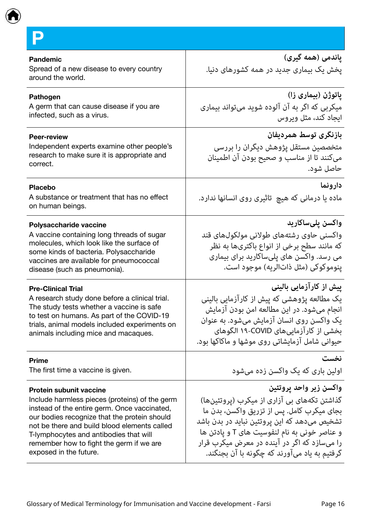<span id="page-15-0"></span>

**P**

| <b>Pandemic</b><br>Spread of a new disease to every country<br>around the world.                                                                                                                                                                                                                                                                 | پاندمی (همه گیری)<br>یخش یک بیماری جدید در همه کشورهای دنیا.                                                                                                                                                                                                                                                        |
|--------------------------------------------------------------------------------------------------------------------------------------------------------------------------------------------------------------------------------------------------------------------------------------------------------------------------------------------------|---------------------------------------------------------------------------------------------------------------------------------------------------------------------------------------------------------------------------------------------------------------------------------------------------------------------|
| <b>Pathogen</b><br>A germ that can cause disease if you are<br>infected, such as a virus.                                                                                                                                                                                                                                                        | پاتوژن (بیماری زا)<br>میکربی که اگر به آن آلوده شوید میتواند بیماری<br>ایجاد کند، مثل ویروس                                                                                                                                                                                                                         |
| <b>Peer-review</b><br>Independent experts examine other people's<br>research to make sure it is appropriate and<br>correct.                                                                                                                                                                                                                      | بازنگری توسط همردیفان<br>متخصصین مستقل پژوهش دیگران را بررسی<br>میکنند تا از مناسب و صحیح بودن آن اطمینان<br>حاصل شود.                                                                                                                                                                                              |
| <b>Placebo</b><br>A substance or treatment that has no effect<br>on human beings.                                                                                                                                                                                                                                                                | دارونما<br>ماده یا درمانی که هیچ  تاثیری روی انسانها ندارد.                                                                                                                                                                                                                                                         |
| Polysaccharide vaccine<br>A vaccine containing long threads of sugar<br>molecules, which look like the surface of<br>some kinds of bacteria. Polysaccharide<br>vaccines are available for pneumococcal<br>disease (such as pneumonia).                                                                                                           | واکسن پلیساکارید<br>واکسنی حاوی رشتههای طولانی مولکولهای قند<br>که مانند سطح برخی از انواع باکتریها به نظر<br>می رسد. واکسن های پلیساکارید برای بیماری<br>ينوموكوكي (مثل ذاتالريه) موجود است.                                                                                                                       |
| <b>Pre-Clinical Trial</b><br>A research study done before a clinical trial.<br>The study tests whether a vaccine is safe<br>to test on humans. As part of the COVID-19<br>trials, animal models included experiments on<br>animals including mice and macaques.                                                                                  | ییش از کارآزمایی بالینی<br>یک مطالعه پژوهشی که پیش از کارآزمایی بالینی<br>انجام میشود. در این مطالعه امن بودن آزمایش<br>یک واکسن روی انسان آزمایش میشود. به عنوان<br>بخشی از کارآزماییهای COVID-۱۹ الگوهای<br>حیوانی شامل آزمایشاتی روی موشها و ماکاکها بود.                                                        |
| <b>Prime</b><br>The first time a vaccine is given.                                                                                                                                                                                                                                                                                               | نخست<br>اولین باری که یک واکسن زده میشود                                                                                                                                                                                                                                                                            |
| <b>Protein subunit vaccine</b><br>Include harmless pieces (proteins) of the germ<br>instead of the entire germ. Once vaccinated,<br>our bodies recognize that the protein should<br>not be there and build blood elements called<br>T-lymphocytes and antibodies that will<br>remember how to fight the germ if we are<br>exposed in the future. | واكسن زير واحد يروتئين<br>گذاشتن تکههای بی آزاری از میکرب (پروتئینها)<br>بجای میکرب کامل. پس از تزریق واکسن، بدن ما<br>تشخیص میدهد که این پروتئین نباید در بدن باشد<br>و عناصر خونی به نام لنفوسیت های T و پادتن ها<br>را میسازد که اگر در آینده در معرض میکرب قرار<br>گرفتیم به یاد میآورند که چگونه با آن بجنگند. |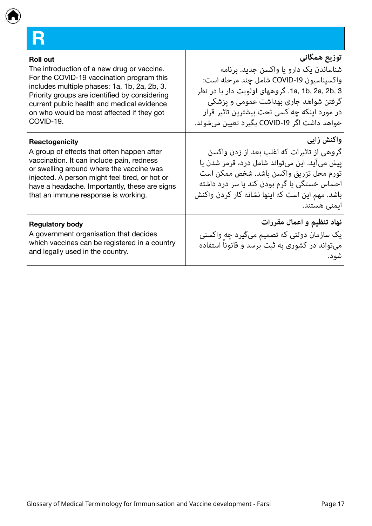<span id="page-16-0"></span>

| <b>Roll out</b><br>The introduction of a new drug or vaccine.<br>For the COVID-19 vaccination program this<br>includes multiple phases: 1a, 1b, 2a, 2b, 3.<br>Priority groups are identified by considering<br>current public health and medical evidence<br>on who would be most affected if they got<br>COVID-19. | توزيع همگاني<br>شناساندن یک دارو یا واکسن جدید. برنامه<br>واكسيناسيون COVID-19 شامل چند مرحله است:<br>1a, 1b, 2a, 2b, 3. گروههای اولویت دار با در نظر<br>گرفتن شواهد جاری بهداشت عمومی و پزشکی<br>در مورد اینکه چه کسی تحت بیشترین تاثیر قرار<br>خواهد داشت اگر COVID-19 بگیرد تعیین میشوند. |
|---------------------------------------------------------------------------------------------------------------------------------------------------------------------------------------------------------------------------------------------------------------------------------------------------------------------|----------------------------------------------------------------------------------------------------------------------------------------------------------------------------------------------------------------------------------------------------------------------------------------------|
| Reactogenicity                                                                                                                                                                                                                                                                                                      | واكنش زايي                                                                                                                                                                                                                                                                                   |
| A group of effects that often happen after                                                                                                                                                                                                                                                                          | گروهی از تاثیرات که اغلب بعد از زدن واکسن                                                                                                                                                                                                                                                    |
| vaccination. It can include pain, redness                                                                                                                                                                                                                                                                           | پیش میآید. این میتواند شامل درد، قرمز شدن یا                                                                                                                                                                                                                                                 |
| or swelling around where the vaccine was                                                                                                                                                                                                                                                                            | تورم محل تزريق واكسن باشد. شخص ممكن است                                                                                                                                                                                                                                                      |
| injected. A person might feel tired, or hot or                                                                                                                                                                                                                                                                      | احساس خستگی یا گرم بودن کند یا سر درد داشته                                                                                                                                                                                                                                                  |
| have a headache. Importantly, these are signs                                                                                                                                                                                                                                                                       | باشد. مهم این است که اینها نشانه کار کردن واکنش                                                                                                                                                                                                                                              |
| that an immune response is working.                                                                                                                                                                                                                                                                                 | ایمنی هستند.                                                                                                                                                                                                                                                                                 |
| <b>Regulatory body</b>                                                                                                                                                                                                                                                                                              | نهاد تنظیم و اعمال مقررات                                                                                                                                                                                                                                                                    |
| A government organisation that decides                                                                                                                                                                                                                                                                              | یک سازمان دولتی که تصمیم میگیرد چه واکسنی                                                                                                                                                                                                                                                    |
| which vaccines can be registered in a country                                                                                                                                                                                                                                                                       | میتواند در کشوری به ثبت برسد و قانونا استفاده                                                                                                                                                                                                                                                |
| and legally used in the country.                                                                                                                                                                                                                                                                                    | شود.                                                                                                                                                                                                                                                                                         |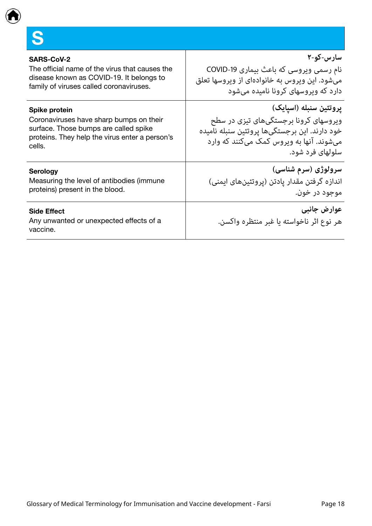<span id="page-17-0"></span>**S**

| ِ سارس-کو-۲                                                                                                                                                                      |
|----------------------------------------------------------------------------------------------------------------------------------------------------------------------------------|
| نام رسمی ویروسی که باعث بیماری COVID-19<br>میشود. این ویروس به خانوادهای از ویروسها تعلق<br>ِ دارد که ویروسهای کرونا نامیده می شود                                               |
| پروتئین سنبله (اسیایک)<br>ویروسهای کرونا برجستگیهای تیزی در سطح<br>خود دارند. این برجستگیها پروتئین سنبله نامیده<br>میشوند. آنها به ویروس کمک میکنند که وارد<br>سلولهای فرد شود. |
| سرولوژی (سرم شناسی)<br>اندازه گرفتن مقدار یادتن (پروتئینهای ایمنی)<br>موجود در خون.                                                                                              |
| عوارض جانبي<br>هر نوع اثر ناخواسته يا غبر منتظره واكسن.                                                                                                                          |
|                                                                                                                                                                                  |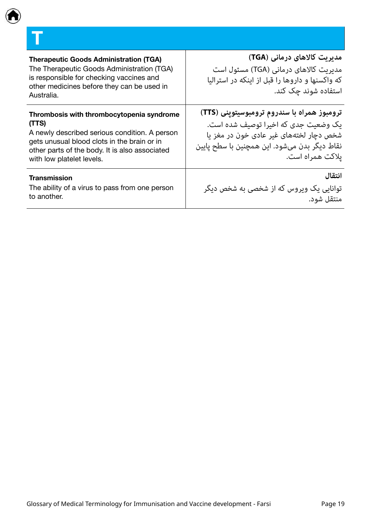### <span id="page-18-0"></span>**T**

| <b>Therapeutic Goods Administration (TGA)</b><br>The Therapeutic Goods Administration (TGA)<br>is responsible for checking vaccines and<br>other medicines before they can be used in<br>Australia.                               | مدیریت کالاهای درمانی (TGA)<br>مدیریت کالاهای درمانی (TGA) مسئول است<br>که واکسنها و داروها را قبل از اینکه در استرالیا<br>استفاده شوند چک کند.                                                    |
|-----------------------------------------------------------------------------------------------------------------------------------------------------------------------------------------------------------------------------------|----------------------------------------------------------------------------------------------------------------------------------------------------------------------------------------------------|
| Thrombosis with thrombocytopenia syndrome<br>(TTS)<br>A newly described serious condition. A person<br>gets unusual blood clots in the brain or in<br>other parts of the body. It is also associated<br>with low platelet levels. | ترومبوز همراه با سندروم ترومبوسیتوپنی (TTS)<br>یک وضعیت جدی که اخیرا توصیف شده است.<br>شخص دچار لختههای غیر عادی خون در مغز یا<br>نقاط ديگر بدن ميشود. اين همچنين با سطح پايين<br>یلاکت همراه است. |
| Transmission<br>The ability of a virus to pass from one person<br>to another.                                                                                                                                                     | انتقال<br>توانایی یک ویروس که از شخصی به شخص دیگر<br>منتقل شود.                                                                                                                                    |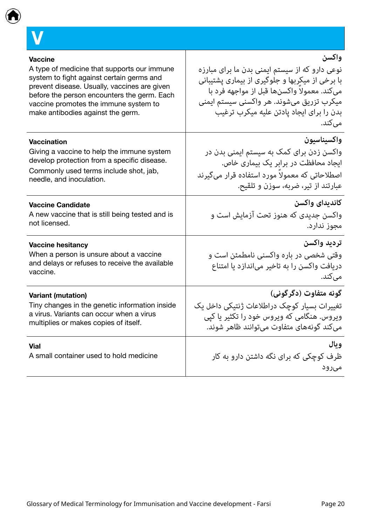<span id="page-19-0"></span>

| <b>Vaccine</b>                                         | واكسن                                                    |
|--------------------------------------------------------|----------------------------------------------------------|
| A type of medicine that supports our immune            | نوعی دارو که از سیستم ایمنی بدن ما برای مبارزه           |
| system to fight against certain germs and              | با برخی از میکربها و جلوگیری از بیماری پشتیبانی          |
| prevent disease. Usually, vaccines are given           | میکند. معمولا واکسنها قبل از مواجهه فرد با               |
| before the person encounters the germ. Each            | میکرب تزریق میشوند. هر واکسنی سیستم ایمنی                |
| vaccine promotes the immune system to                  | بدن را برای ایجاد یادتن علیه میکرب ترغیب                 |
| make antibodies against the germ.                      | میکند.                                                   |
| <b>Vaccination</b>                                     | واكسيناسيون                                              |
| Giving a vaccine to help the immune system             | واکسن زدن برای کمک به سیستم ایمنی بدن در                 |
| develop protection from a specific disease.            | ایجاد محافظت در برابر یک بیماری خاص.                     |
| Commonly used terms include shot, jab,                 | اصطلاحاتی که معمولاً مورد استفاده قرار میگیرند           |
| needle, and inoculation.                               | عبارتند از تیر، ضربه، سوزن و تلقیح.                      |
| <b>Vaccine Candidate</b>                               | كانديداي واكسن                                           |
| A new vaccine that is still being tested and is        | واکسن جدیدی که هنوز تحت آزمایش است و                     |
| not licensed.                                          | مجوز ندارد.                                              |
| <b>Vaccine hesitancy</b>                               | ترديد واكسن                                              |
| When a person is unsure about a vaccine                | وقتی شخصی در باره واکسنی نامطمئن است و                   |
| and delays or refuses to receive the available         | دریافت واکسن را به تاخیر میاندازد یا امتناع              |
| vaccine.                                               | میکند.                                                   |
| <b>Variant (mutation)</b>                              | گونه متفاوت (دگرگونی)                                    |
| Tiny changes in the genetic information inside         | تغییرات بسیار کوچک دراطلاعات ژنتیکی داخل یک              |
| a virus. Variants can occur when a virus               | ویروس. هنگامی که ویروس خود را تکثیر یا کیی               |
| multiplies or makes copies of itself.                  | ميكند گونههاي متفاوت ميتوانند ظاهر شوند.                 |
| <b>Vial</b><br>A small container used to hold medicine | ويال<br>ظرف کوچکی که برای نگه داشتن دارو به کار<br>مىرود |